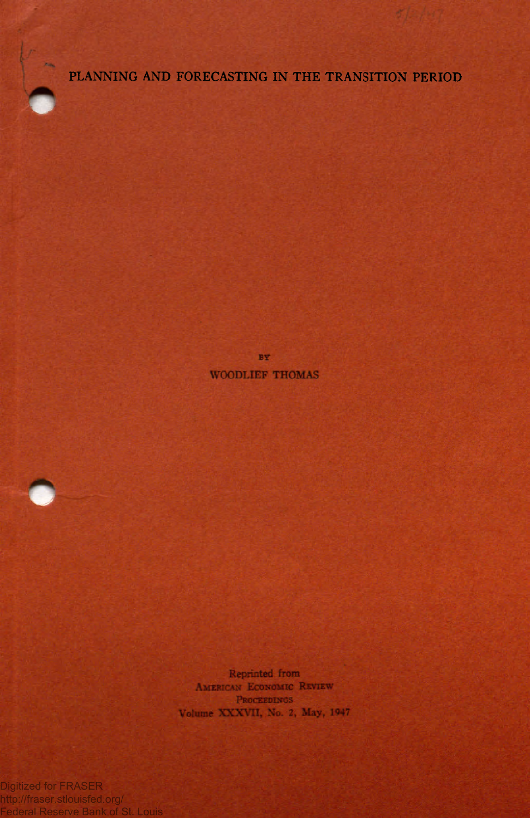## **PLANNING AND FORECASTING IN THE TRANSITION PERIOD**

BY WOODLIEF THOMAS



Reprinted from AMERICAN ECONOMIC REVIEW PROCEEDINGS Volume XXXVII, No. 2, May, 1947

Digitized for FRASER http://fraser.stlouisfed.org/ Federal Reserve Bank of St. Louis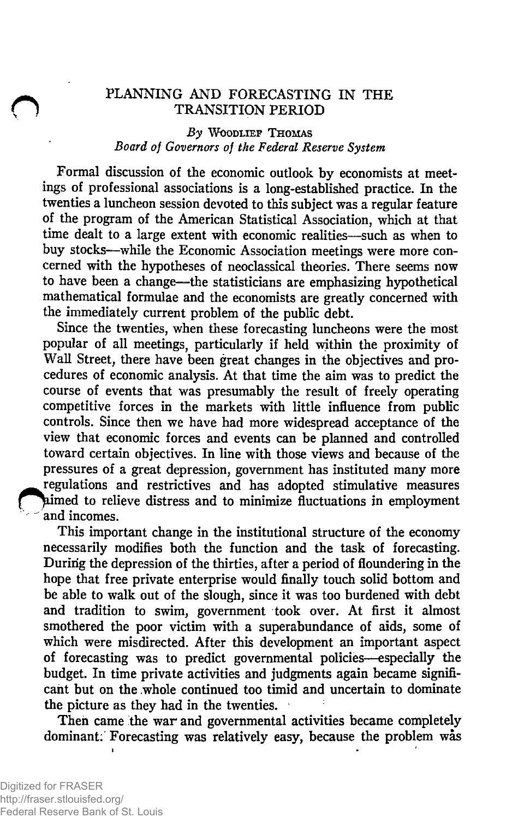## PLANNING AND FORECASTING IN THE TRANSITION PERIOD

## *By* **WOODLIEF THOMAS**  *Board of Governors of the Federal Reserve System*

Formal discussion of the economic outlook by economists at meetings of professional associations is a long-established practice. In the twenties a luncheon session devoted to this subject was a regular feature of the program of the American Statistical Association, which at that time dealt to a large extent with economic realities—such as when to buy stocks—while the Economic Association meetings were more concerned with the hypotheses of neoclassical theories. There seems now to have been a change—the statisticians are emphasizing hypothetical mathematical formulae and the economists are greatly concerned with the immediately current problem of the public debt.

Since the twenties, when these forecasting luncheons were the most popular of all meetings, particularly if held within the proximity of Wall Street, there have been great changes in the objectives and procedures of economic analysis. At that time the aim was to predict the course of events that was presumably the result of freely operating competitive forces in the markets with little influence from public controls. Since then we have had more widespread acceptance of the view that economic forces and events can be planned and controlled toward certain objectives. In line with those views and because of the pressures of a great depression, government has instituted many more regulations and restrictives and has adopted stimulative measures aimed to relieve distress and to minimize fluctuations in employment and incomes.

This important change in the institutional structure of the economy necessarily modifies both the function and the task of forecasting. During the depression of the thirties, after a period of floundering in the hope that free private enterprise would finally touch solid bottom and be able to walk out of the slough, since it was too burdened with debt and tradition to swim, government took over. At first it almost smothered the poor victim with a superabundance of aids, some of which were misdirected. After this development an important aspect of forecasting was to predict governmental policies—especially the budget. In time private activities and judgments again became significant but on the whole continued too timid and uncertain to dominate the picture as they had in the twenties.

Then came the war and governmental activities became completely dominant: Forecasting was relatively easy, because the problem was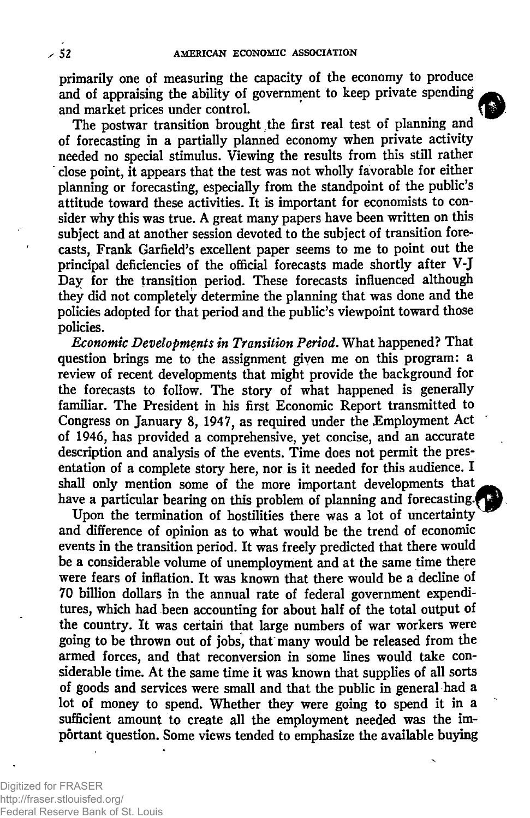primarily one of measuring the capacity of the economy to produce and of appraising the ability of government to keep private spending and market prices under control.

The postwar transition brought the first real test of planning and of forecasting in a partially planned economy when private activity needed no special stimulus. Viewing the results from this still rather close point, it appears that the test was not wholly favorable for either planning or forecasting, especially from the standpoint of the public's attitude toward these activities. It is important for economists to consider why this was true. A great many papers have been written on this subject and at another session devoted to the subject of transition forecasts, Frank Garfield's excellent paper seems to me to point out the principal deficiencies of the official forecasts made shortly after V-J Day for the transition period. These forecasts influenced although they did not completely determine the planning that was done and the policies adopted for that period and the public's viewpoint toward those policies.

*Economic Developments in Transition Period*. What happened? That question brings me to the assignment given me on this program: a review of recent developments that might provide the background for the forecasts to follow. The story of what happened is generally familiar. The President in his first Economic Report transmitted to Congress on January 8, 1947, as required under the Employment Act of 1946, has provided a comprehensive, yet concise, and an accurate description and analysis of the events. Time does not permit the presentation of a complete story here, nor is it needed for this audience. I shall only mention some of the more important developments that have a particular bearing on this problem of planning and forecasting.

Upon the termination of hostilities there was a lot of uncertainty and difference of opinion as to what would be the trend of economic events in the transition period. It was freely predicted that there would be a considerable volume of unemployment and at the same time there were fears of inflation. It was known that there would be a decline of 70 billion dollars in the annual rate of federal government expenditures, which had been accounting for about half of the total output of the country. It was certain that large numbers of war workers were going to be thrown out of jobs, that many would be released from the armed forces, and that reconversion in some lines would take considerable time. At the same time it was known that supplies of all sorts of goods and services were small and that the public in general had a lot of money to spend. Whether they were going to spend it in a sufficient amount to create all the employment needed was the important question. Some views tended to emphasize the available buying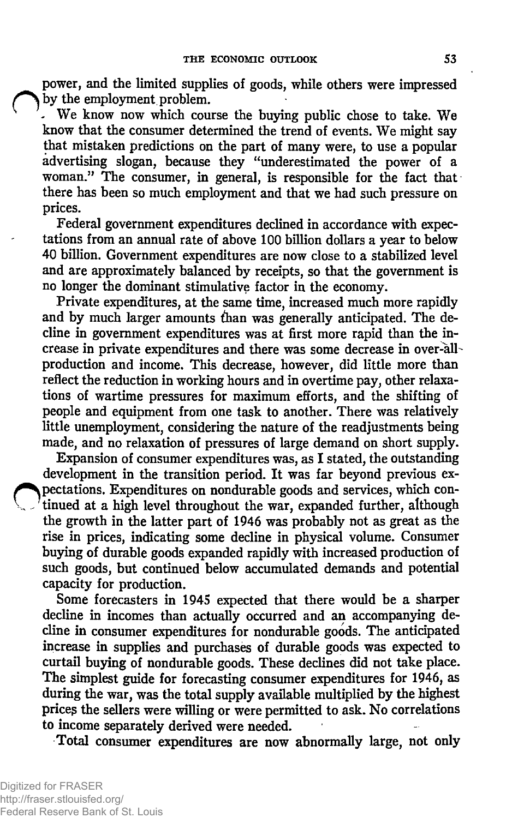power, and the limited supplies of goods, while others were impressed by the employment problem.

. We know now which course the buying public chose to take. We know that the consumer determined the trend of events. We might say that mistaken predictions on the part of many were, to use a popular advertising slogan, because they "underestimated the power of a woman." The consumer, in general, is responsible for the fact that there has been so much employment and that we had such pressure on prices.

Federal government expenditures declined in accordance with expectations from an annual rate of above 100 billion dollars a year to below 40 billion. Government expenditures are now close to a stabilized level and are approximately balanced by receipts, so that the government is no longer the dominant stimulative factor in the economy.

Private expenditures, at the same time, increased much more rapidly and by much larger amounts than was generally anticipated. The decline in government expenditures was at first more rapid than the increase in private expenditures and there was some decrease in over-allproduction and income. This decrease, however, did little more than reflect the reduction in working hours and in overtime pay, other relaxations of wartime pressures for maximum efforts, and the shifting of people and equipment from one task to another. There was relatively little unemployment, considering the nature of the readjustments being made, and no relaxation of pressures of large demand on short supply.

Expansion of consumer expenditures was, as I stated, the outstanding development in the transition period. It was far beyond previous expectations. Expenditures on nondurable goods and services, which continued at a high level throughout the war, expanded further, although the growth in the latter part of 1946 was probably not as great as the rise in prices, indicating some decline in physical volume. Consumer buying of durable goods expanded rapidly with increased production of such goods, but continued below accumulated demands and potential capacity for production.

Some forecasters in 1945 expected that there would be a sharper decline in incomes than actually occurred and an accompanying decline in consumer expenditures for nondurable goods. The anticipated increase in supplies and purchases of durable goods was expected to curtail buying of nondurable goods. These declines did not take place. The simplest guide for forecasting consumer expenditures for 1946, as during the war, was the total supply available multiplied by the highest prices the sellers were willing or were permitted to ask. No correlations to income separately derived were needed.

Total consumer expenditures are now abnormally large, not only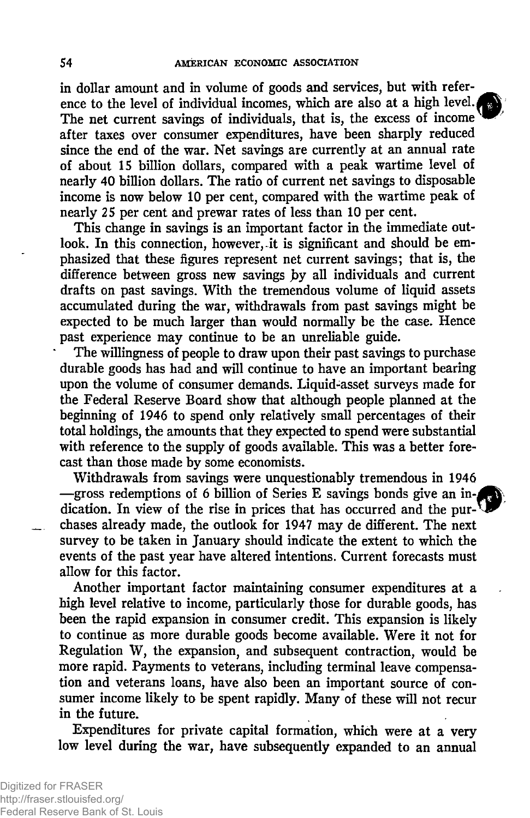in dollar amount and in volume of goods and services, but with reference to the level of individual incomes, which are also at a high level. The net current savings of individuals, that is, the excess of income after taxes over consumer expenditures, have been sharply reduced since the end of the war. Net savings are currently at an annual rate of about IS billion dollars, compared with a peak wartime level of nearly 40 billion dollars. The ratio of current net savings to disposable income is now below 10 per cent, compared with the wartime peak of nearly 25 per cent and prewar rates of less than 10 per cent.

This change in savings is an important factor in the immediate outlook. In this connection, however, it is significant and should be emphasized that these figures represent net current savings; that is, the difference between gross new savings by all individuals and current drafts on past savings. With the tremendous volume of liquid assets accumulated during the war, withdrawals from past savings might be expected to be much larger than would normally be the case. Hence past experience may continue to be an unreliable guide.

The willingness of people to draw upon their past savings to purchase durable goods has had and will continue to have an important bearing upon the volume of consumer demands. Liquid-asset surveys made for the Federal Reserve Board show that although people planned at the beginning of 1946 to spend only relatively small percentages of their total holdings, the amounts that they expected to spend were substantial with reference to the supply of goods available. This was a better forecast than those made by some economists.

Withdrawals from savings were unquestionably tremendous in 1946 —gross redemptions of 6 billion of Series E savings bonds give an indication. In view of the rise in prices that has occurred and the purchases already made, the outlook for 1947 may de different. The next survey to be taken in January should indicate the extent to which the events of the past year have altered intentions. Current forecasts must allow for this factor.

Another important factor maintaining consumer expenditures at a high level relative to income, particularly those for durable goods, has been the rapid expansion in consumer credit. This expansion is likely to continue as more durable goods become available. Were it not for Regulation W, the expansion, and subsequent contraction, would be more rapid. Payments to veterans, including terminal leave compensation and veterans loans, have also been an important source of consumer income likely to be spent rapidly. Many of these will not recur in the future.

Expenditures for private capital formation, which were at a very low level during the war, have subsequently expanded to an annual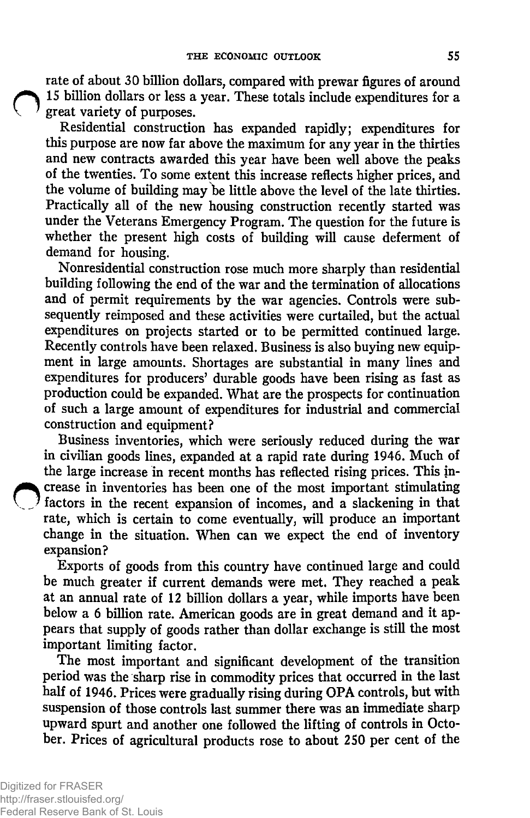rate of about 30 billion dollars, compared with prewar figures of around  $\bigcap_{\delta}^{\mathbf{r}}$ 15 billion dollars or less a year. These totals include expenditures for a great variety of purposes.

Residential construction has expanded rapidly; expenditures for this purpose are now far above the maximum for any year in the thirties and new contracts awarded this year have been well above the peaks of the twenties. To some extent this increase reflects higher prices, and the volume of building may be little above the level of the late thirties. Practically all of the new housing construction recently started was under the Veterans Emergency Program. The question for the future is whether the present high costs of building will cause deferment of demand for housing.

Nonresidential construction rose much more sharply than residential building following the end of the war and the termination of allocations and of permit requirements by the war agencies. Controls were subsequently reimposed and these activities were curtailed, but the actual expenditures on projects started or to be permitted continued large. Recently controls have been relaxed. Business is also buying new equipment in large amounts. Shortages are substantial in many lines and expenditures for producers' durable goods have been rising as fast as production could be expanded. What are the prospects for continuation of such a large amount of expenditures for industrial and commercial construction and equipment?

Business inventories, which were seriously reduced during the war in civilian goods lines, expanded at a rapid rate during 1946. Much of the large increase in recent months has reflected rising prices. This increase in inventories has been one of the most important stimulating factors in the recent expansion of incomes, and a slackening in that rate, which is certain to come eventually, will produce an important change in the situation. When can we expect the end of inventory expansion?

Exports of goods from this country have continued large and could be much greater if current demands were met. They reached a peak at an annual rate of 12 billion dollars a year, while imports have been below a 6 billion rate. American goods are in great demand and it appears that supply of goods rather than dollar exchange is still the most important limiting factor.

The most important and significant development of the transition period was the sharp rise in commodity prices that occurred in the last half of 1946. Prices were gradually rising during OPA controls, but with suspension of those controls last summer there was an immediate sharp upward spurt and another one followed the lifting of controls in October. Prices of agricultural products rose to about 250 per cent of the

 $\bigcirc$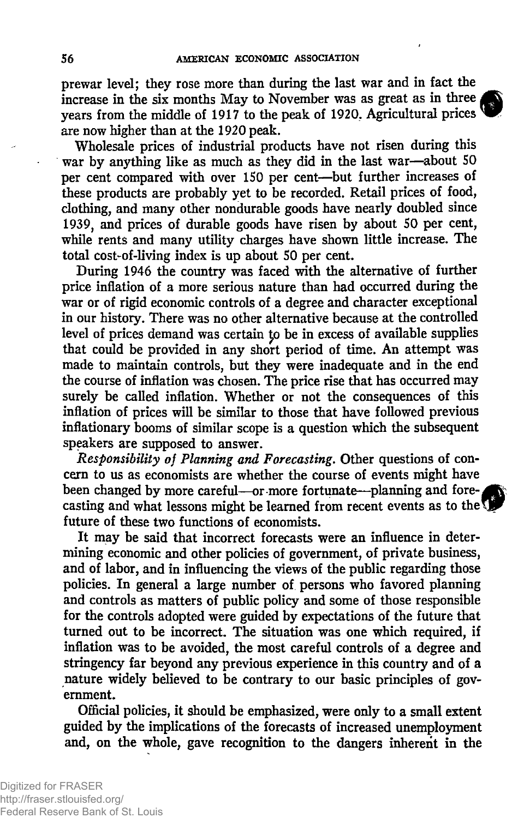prewar level; they rose more than during the last war and in fact the increase in the six months May to November was as great as in three years from the middle of 1917 to the peak of 1920. Agricultural prices  $\mathcal{\mathcal{F}}$ are now higher than at the 1920 peak.

Wholesale prices of industrial products have not risen during this war by anything like as much as they did in the last war—about 50 per cent compared with over 150 per cent—but further increases of these products are probably yet to be recorded. Retail prices of food, clothing, and many other nondurable goods have nearly doubled since 1939, and prices of durable goods have risen by about 50 per cent, while rents and many utility charges have shown little increase. The total cost-of-living index is up about 50 per cent.

During 1946 the country was faced with the alternative of further price inflation of a more serious nature than had occurred during the war or of rigid economic controls of a degree and character exceptional in our history. There was no other alternative because at the controlled level of prices demand was certain to be in excess of available supplies that could be provided in any short period of time. An attempt was made to maintain controls, but they were inadequate and in the end the course of inflation was chosen. The price rise that has occurred may surely be called inflation. Whether or not the consequences of this inflation of prices will be similar to those that have followed previous inflationary booms of similar scope is a question which the subsequent speakers are supposed to answer.

*Responsibility of Planning and Forecasting*. Other questions of concern to us as economists are whether the course of events might have been changed by more careful—or-more fortunate—planning and forecasting and what lessons might be learned from recent events as to the future of these two functions of economists.

It may be said that incorrect forecasts were an influence in determining economic and other policies of government, of private business, and of labor, and in influencing the views of the public regarding those policies. In general a large number of persons who favored planning and controls as matters of public policy and some of those responsible for the controls adopted were guided by expectations of the future that turned out to be incorrect. The situation was one which required, if inflation was to be avoided, the most careful controls of a degree and stringency far beyond any previous experience in this country and of a nature widely believed to be contrary to our basic principles of government.

Official policies, it should be emphasized, were only to a small extent guided by the implications of the forecasts of increased unemployment and, on the whole, gave recognition to the dangers inherent in the